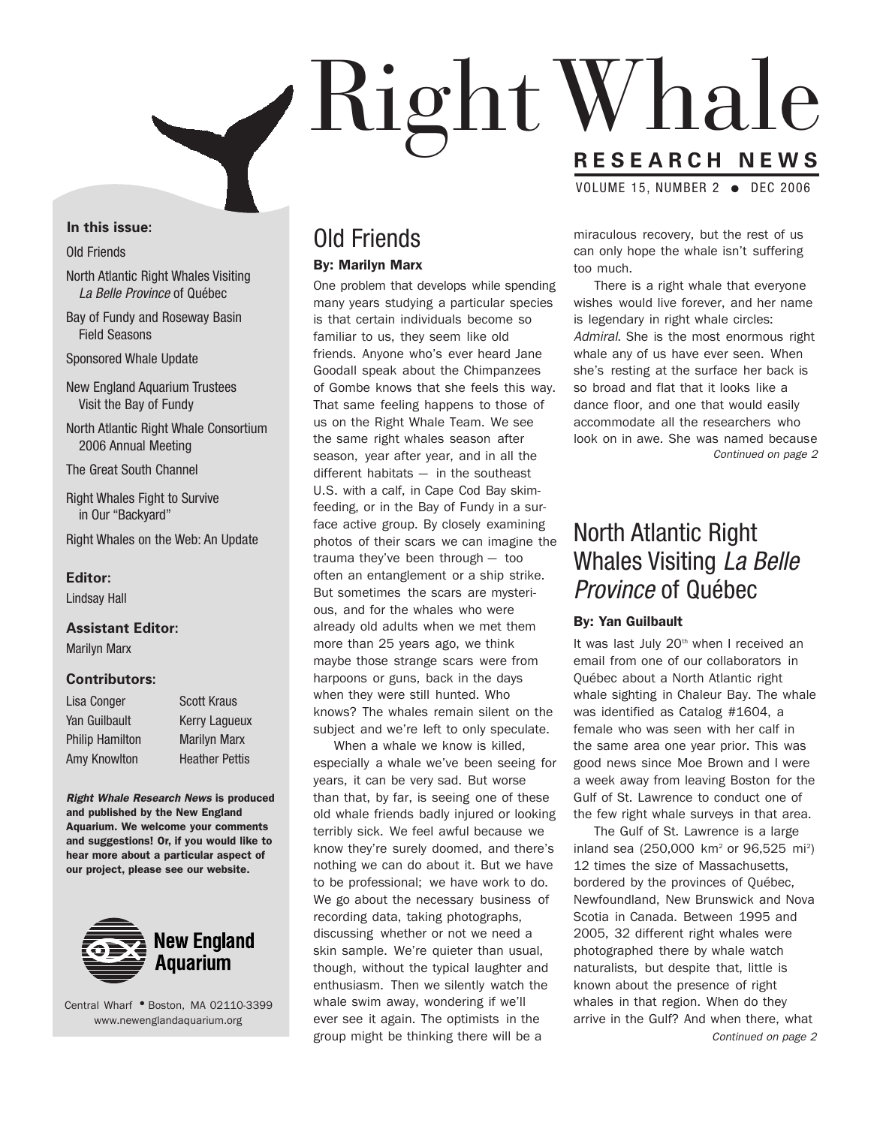

#### **In this issue:**

#### Old Friends

- North Atlantic Right Whales Visiting La Belle Province of Québec
- Bay of Fundy and Roseway Basin Field Seasons

Sponsored Whale Update

- New England Aquarium Trustees Visit the Bay of Fundy
- North Atlantic Right Whale Consortium 2006 Annual Meeting

The Great South Channel

- Right Whales Fight to Survive in Our "Backyard"
- Right Whales on the Web: An Update

#### **Editor:**

Lindsay Hall

#### **Assistant Editor:**

Marilyn Marx

#### **Contributors:**

| Lisa Conger            | <b>Scott Kraus</b>    |
|------------------------|-----------------------|
| Yan Guilbault          | <b>Kerry Laqueux</b>  |
| <b>Philip Hamilton</b> | <b>Marilyn Marx</b>   |
| Amy Knowlton           | <b>Heather Pettis</b> |

**Right Whale Research News is produced and published by the New England Aquarium. We welcome your comments and suggestions! Or, if you would like to hear more about a particular aspect of our project, please see our website.**



Central Wharf **●** Boston, MA 02110-3399 www.newenglandaquarium.org

# Old Friends

#### **By: Marilyn Marx**

One problem that develops while spending many years studying a particular species is that certain individuals become so familiar to us, they seem like old friends. Anyone who's ever heard Jane Goodall speak about the Chimpanzees of Gombe knows that she feels this way. That same feeling happens to those of us on the Right Whale Team. We see the same right whales season after season, year after year, and in all the different habitats — in the southeast U.S. with a calf, in Cape Cod Bay skimfeeding, or in the Bay of Fundy in a surface active group. By closely examining photos of their scars we can imagine the trauma they've been through — too often an entanglement or a ship strike. But sometimes the scars are mysterious, and for the whales who were already old adults when we met them more than 25 years ago, we think maybe those strange scars were from harpoons or guns, back in the days when they were still hunted. Who knows? The whales remain silent on the subject and we're left to only speculate.

When a whale we know is killed, especially a whale we've been seeing for years, it can be very sad. But worse than that, by far, is seeing one of these old whale friends badly injured or looking terribly sick. We feel awful because we know they're surely doomed, and there's nothing we can do about it. But we have to be professional; we have work to do. We go about the necessary business of recording data, taking photographs, discussing whether or not we need a skin sample. We're quieter than usual, though, without the typical laughter and enthusiasm. Then we silently watch the whale swim away, wondering if we'll ever see it again. The optimists in the group might be thinking there will be a

miraculous recovery, but the rest of us can only hope the whale isn't suffering too much.

There is a right whale that everyone wishes would live forever, and her name is legendary in right whale circles: Admiral. She is the most enormous right whale any of us have ever seen. When she's resting at the surface her back is so broad and flat that it looks like a dance floor, and one that would easily accommodate all the researchers who look on in awe. She was named because Continued on page 2

### North Atlantic Right Whales Visiting La Belle Province of Québec

#### **By: Yan Guilbault**

It was last July 20<sup>th</sup> when I received an email from one of our collaborators in Québec about a North Atlantic right whale sighting in Chaleur Bay. The whale was identified as Catalog #1604, a female who was seen with her calf in the same area one year prior. This was good news since Moe Brown and I were a week away from leaving Boston for the Gulf of St. Lawrence to conduct one of the few right whale surveys in that area.

The Gulf of St. Lawrence is a large inland sea (250,000 km<sup>2</sup> or 96,525 mi<sup>2</sup>) 12 times the size of Massachusetts, bordered by the provinces of Québec, Newfoundland, New Brunswick and Nova Scotia in Canada. Between 1995 and 2005, 32 different right whales were photographed there by whale watch naturalists, but despite that, little is known about the presence of right whales in that region. When do they arrive in the Gulf? And when there, what Continued on page 2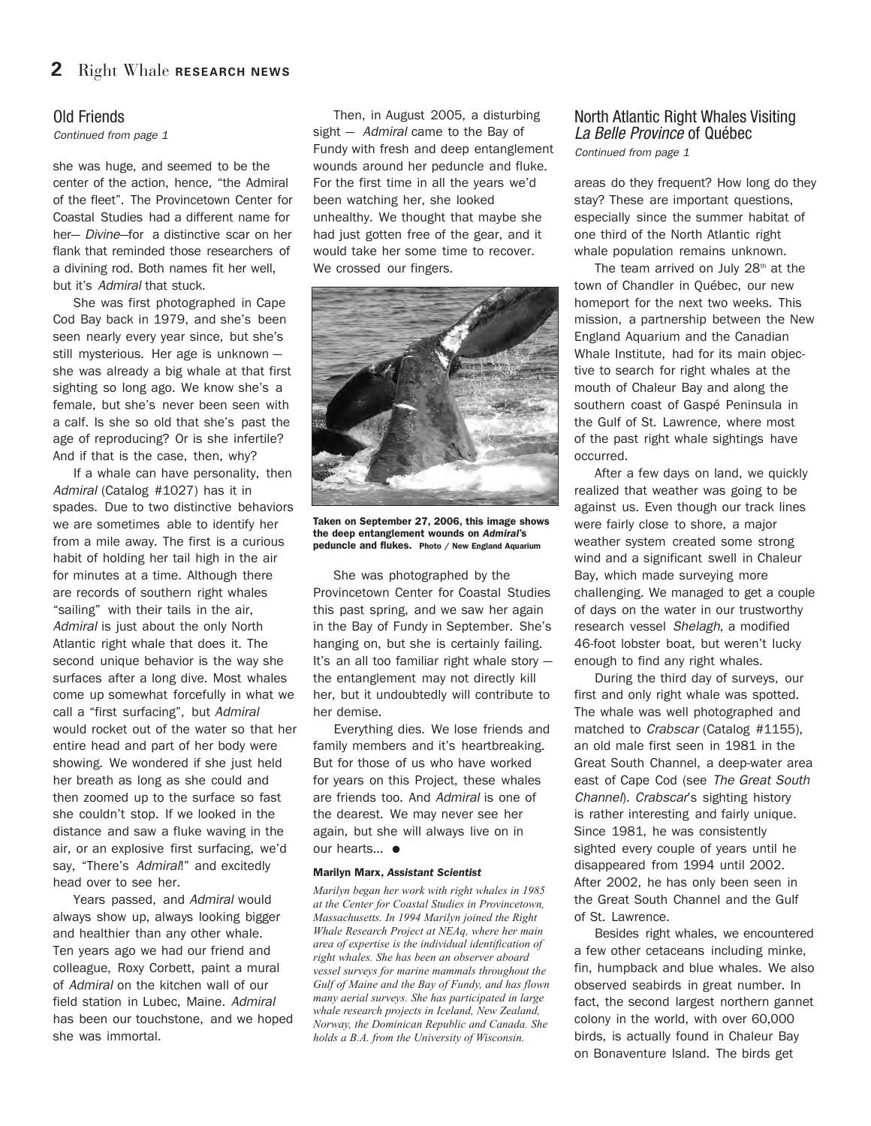#### Old Friends

Continued from page 1

she was huge, and seemed to be the center of the action, hence, "the Admiral of the fleet". The Provincetown Center for Coastal Studies had a different name for her- *Divine*-for a distinctive scar on her flank that reminded those researchers of a divining rod. Both names fit her well, but it's Admiral that stuck.

She was first photographed in Cape Cod Bay back in 1979, and she's been seen nearly every year since, but she's still mysterious. Her age is unknown she was already a big whale at that first sighting so long ago. We know she's a female, but she's never been seen with a calf. Is she so old that she's past the age of reproducing? Or is she infertile? And if that is the case, then, why?

If a whale can have personality, then Admiral (Catalog #1027) has it in spades. Due to two distinctive behaviors we are sometimes able to identify her from a mile away. The first is a curious habit of holding her tail high in the air for minutes at a time. Although there are records of southern right whales "sailing" with their tails in the air, Admiral is just about the only North Atlantic right whale that does it. The second unique behavior is the way she surfaces after a long dive. Most whales come up somewhat forcefully in what we call a "first surfacing", but Admiral would rocket out of the water so that her entire head and part of her body were showing. We wondered if she just held her breath as long as she could and then zoomed up to the surface so fast she couldn't stop. If we looked in the distance and saw a fluke waving in the air, or an explosive first surfacing, we'd say, "There's Admiral!" and excitedly head over to see her.

Years passed, and Admiral would always show up, always looking bigger and healthier than any other whale. Ten years ago we had our friend and colleague, Roxy Corbett, paint a mural of Admiral on the kitchen wall of our field station in Lubec, Maine. Admiral has been our touchstone, and we hoped she was immortal.

Then, in August 2005, a disturbing sight - Admiral came to the Bay of Fundy with fresh and deep entanglement wounds around her peduncle and fluke. For the first time in all the years we'd been watching her, she looked unhealthy. We thought that maybe she had just gotten free of the gear, and it would take her some time to recover. We crossed our fingers.



**Taken on September 27, 2006, this image shows the deep entanglement wounds on** *Admiral***'s peduncle and flukes. Photo / New England Aquarium** 

She was photographed by the Provincetown Center for Coastal Studies this past spring, and we saw her again in the Bay of Fundy in September. She's hanging on, but she is certainly failing. It's an all too familiar right whale story the entanglement may not directly kill her, but it undoubtedly will contribute to her demise.

Everything dies. We lose friends and family members and it's heartbreaking. But for those of us who have worked for years on this Project, these whales are friends too. And Admiral is one of the dearest. We may never see her again, but she will always live on in our hearts… **●**

#### **Marilyn Marx,** *Assistant Scientist*

*Marilyn began her work with right whales in 1985 at the Center for Coastal Studies in Provincetown, Massachusetts. In 1994 Marilyn joined the Right Whale Research Project at NEAq, where her main area of expertise is the individual identification of right whales. She has been an observer aboard vessel surveys for marine mammals throughout the Gulf of Maine and the Bay of Fundy, and has flown many aerial surveys. She has participated in large whale research projects in Iceland, New Zealand, Norway, the Dominican Republic and Canada. She holds a B.A. from the University of Wisconsin.*

#### North Atlantic Right Whales Visiting La Belle Province of Québec Continued from page 1

areas do they frequent? How long do they stay? These are important questions, especially since the summer habitat of one third of the North Atlantic right whale population remains unknown.

The team arrived on July  $28<sup>th</sup>$  at the town of Chandler in Québec, our new homeport for the next two weeks. This mission, a partnership between the New England Aquarium and the Canadian Whale Institute, had for its main objective to search for right whales at the mouth of Chaleur Bay and along the southern coast of Gaspé Peninsula in the Gulf of St. Lawrence, where most of the past right whale sightings have occurred.

After a few days on land, we quickly realized that weather was going to be against us. Even though our track lines were fairly close to shore, a major weather system created some strong wind and a significant swell in Chaleur Bay, which made surveying more challenging. We managed to get a couple of days on the water in our trustworthy research vessel Shelagh, a modified 46-foot lobster boat, but weren't lucky enough to find any right whales.

During the third day of surveys, our first and only right whale was spotted. The whale was well photographed and matched to Crabscar (Catalog #1155), an old male first seen in 1981 in the Great South Channel, a deep-water area east of Cape Cod (see The Great South Channel). Crabscar's sighting history is rather interesting and fairly unique. Since 1981, he was consistently sighted every couple of years until he disappeared from 1994 until 2002. After 2002, he has only been seen in the Great South Channel and the Gulf of St. Lawrence.

Besides right whales, we encountered a few other cetaceans including minke, fin, humpback and blue whales. We also observed seabirds in great number. In fact, the second largest northern gannet colony in the world, with over 60,000 birds, is actually found in Chaleur Bay on Bonaventure Island. The birds get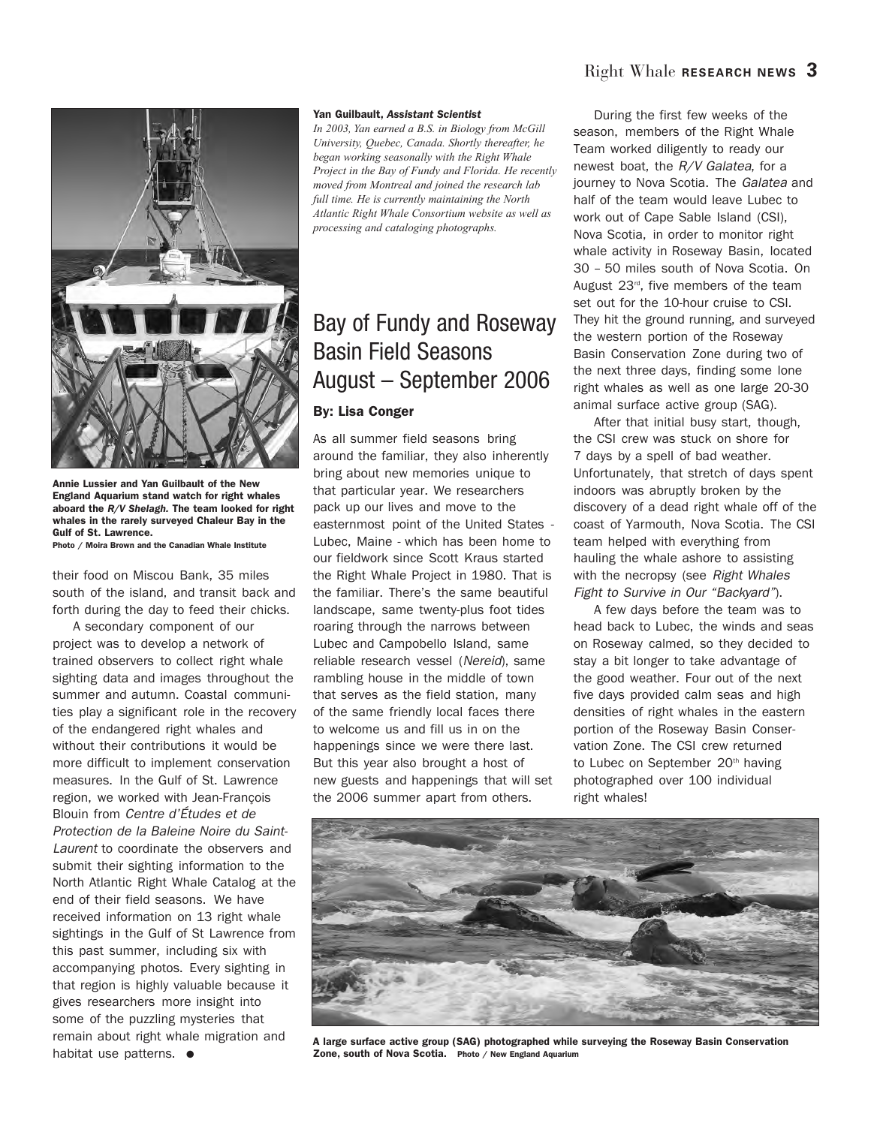

**Annie Lussier and Yan Guilbault of the New England Aquarium stand watch for right whales aboard the** *R/V Shelagh.* **The team looked for right whales in the rarely surveyed Chaleur Bay in the Gulf of St. Lawrence.**

**Photo / Moira Brown and the Canadian Whale Institute** 

their food on Miscou Bank, 35 miles south of the island, and transit back and forth during the day to feed their chicks.

A secondary component of our project was to develop a network of trained observers to collect right whale sighting data and images throughout the summer and autumn. Coastal communities play a significant role in the recovery of the endangered right whales and without their contributions it would be more difficult to implement conservation measures. In the Gulf of St. Lawrence region, we worked with Jean-François Blouin from Centre d'Études et de Protection de la Baleine Noire du Saint-Laurent to coordinate the observers and submit their sighting information to the North Atlantic Right Whale Catalog at the end of their field seasons. We have received information on 13 right whale sightings in the Gulf of St Lawrence from this past summer, including six with accompanying photos. Every sighting in that region is highly valuable because it gives researchers more insight into some of the puzzling mysteries that remain about right whale migration and habitat use patterns. **●**

#### **Yan Guilbault,** *Assistant Scientist*

*In 2003, Yan earned a B.S. in Biology from McGill University, Quebec, Canada. Shortly thereafter, he began working seasonally with the Right Whale Project in the Bay of Fundy and Florida. He recently moved from Montreal and joined the research lab full time. He is currently maintaining the North Atlantic Right Whale Consortium website as well as processing and cataloging photographs.*

# Bay of Fundy and Roseway Basin Field Seasons August – September 2006

#### **By: Lisa Conger**

As all summer field seasons bring around the familiar, they also inherently bring about new memories unique to that particular year. We researchers pack up our lives and move to the easternmost point of the United States - Lubec, Maine - which has been home to our fieldwork since Scott Kraus started the Right Whale Project in 1980. That is the familiar. There's the same beautiful landscape, same twenty-plus foot tides roaring through the narrows between Lubec and Campobello Island, same reliable research vessel (Nereid), same rambling house in the middle of town that serves as the field station, many of the same friendly local faces there to welcome us and fill us in on the happenings since we were there last. But this year also brought a host of new guests and happenings that will set the 2006 summer apart from others.

During the first few weeks of the season, members of the Right Whale Team worked diligently to ready our newest boat, the  $R/V$  Galatea, for a journey to Nova Scotia. The Galatea and half of the team would leave Lubec to work out of Cape Sable Island (CSI), Nova Scotia, in order to monitor right whale activity in Roseway Basin, located 30 – 50 miles south of Nova Scotia. On August  $23<sup>rd</sup>$ , five members of the team set out for the 10-hour cruise to CSI. They hit the ground running, and surveyed the western portion of the Roseway Basin Conservation Zone during two of the next three days, finding some lone right whales as well as one large 20-30 animal surface active group (SAG).

After that initial busy start, though, the CSI crew was stuck on shore for 7 days by a spell of bad weather. Unfortunately, that stretch of days spent indoors was abruptly broken by the discovery of a dead right whale off of the coast of Yarmouth, Nova Scotia. The CSI team helped with everything from hauling the whale ashore to assisting with the necropsy (see Right Whales Fight to Survive in Our "Backyard").

A few days before the team was to head back to Lubec, the winds and seas on Roseway calmed, so they decided to stay a bit longer to take advantage of the good weather. Four out of the next five days provided calm seas and high densities of right whales in the eastern portion of the Roseway Basin Conservation Zone. The CSI crew returned to Lubec on September 20<sup>th</sup> having photographed over 100 individual right whales!



**A large surface active group (SAG) photographed while surveying the Roseway Basin Conservation Zone, south of Nova Scotia. Photo / New England Aquarium**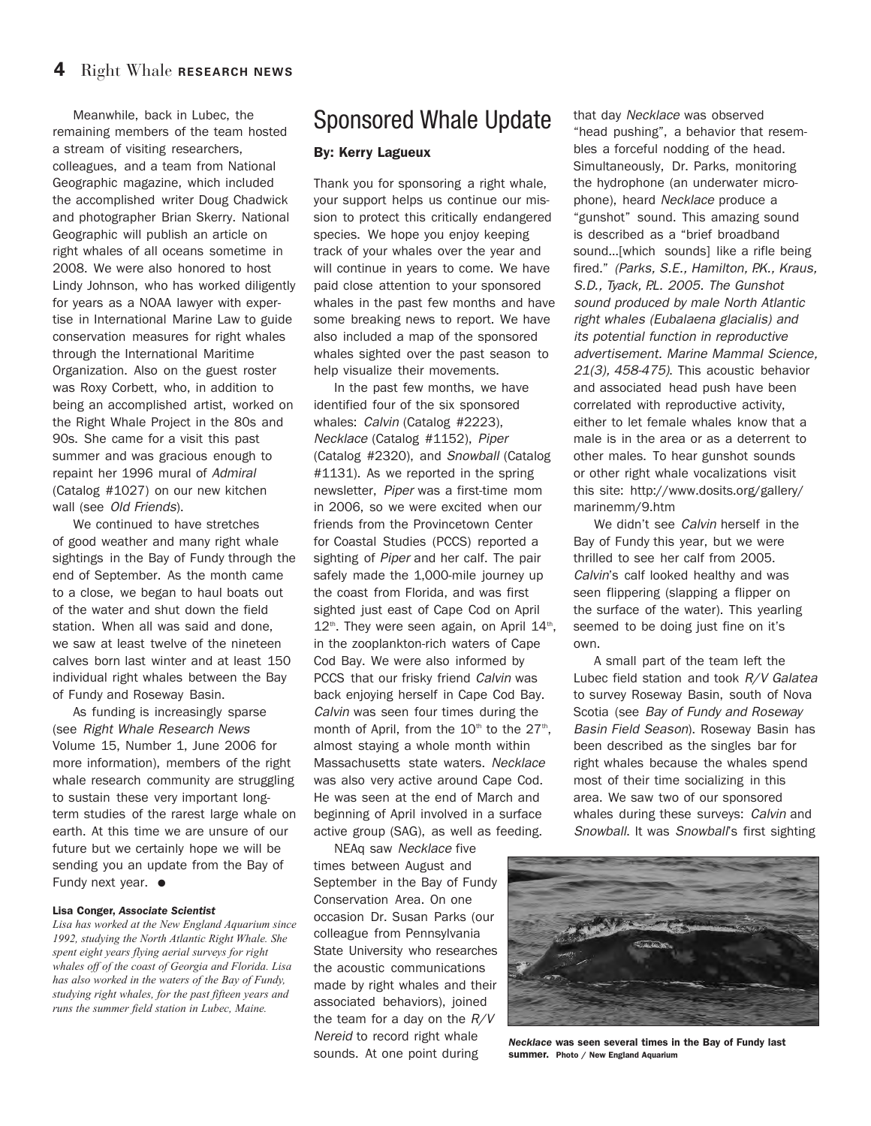Meanwhile, back in Lubec, the remaining members of the team hosted a stream of visiting researchers, colleagues, and a team from National Geographic magazine, which included the accomplished writer Doug Chadwick and photographer Brian Skerry. National Geographic will publish an article on right whales of all oceans sometime in 2008. We were also honored to host Lindy Johnson, who has worked diligently for years as a NOAA lawyer with expertise in International Marine Law to guide conservation measures for right whales through the International Maritime Organization. Also on the guest roster was Roxy Corbett, who, in addition to being an accomplished artist, worked on the Right Whale Project in the 80s and 90s. She came for a visit this past summer and was gracious enough to repaint her 1996 mural of Admiral (Catalog #1027) on our new kitchen wall (see Old Friends).

We continued to have stretches of good weather and many right whale sightings in the Bay of Fundy through the end of September. As the month came to a close, we began to haul boats out of the water and shut down the field station. When all was said and done, we saw at least twelve of the nineteen calves born last winter and at least 150 individual right whales between the Bay of Fundy and Roseway Basin.

As funding is increasingly sparse (see Right Whale Research News Volume 15, Number 1, June 2006 for more information), members of the right whale research community are struggling to sustain these very important longterm studies of the rarest large whale on earth. At this time we are unsure of our future but we certainly hope we will be sending you an update from the Bay of Fundy next year. **●**

#### **Lisa Conger,** *Associate Scientist*

*Lisa has worked at the New England Aquarium since 1992, studying the North Atlantic Right Whale. She spent eight years flying aerial surveys for right whales off of the coast of Georgia and Florida. Lisa has also worked in the waters of the Bay of Fundy, studying right whales, for the past fifteen years and runs the summer field station in Lubec, Maine.* 

### Sponsored Whale Update

#### **By: Kerry Lagueux**

Thank you for sponsoring a right whale, your support helps us continue our mission to protect this critically endangered species. We hope you enjoy keeping track of your whales over the year and will continue in years to come. We have paid close attention to your sponsored whales in the past few months and have some breaking news to report. We have also included a map of the sponsored whales sighted over the past season to help visualize their movements.

In the past few months, we have identified four of the six sponsored whales: Calvin (Catalog #2223), Necklace (Catalog #1152), Piper (Catalog #2320), and Snowball (Catalog #1131). As we reported in the spring newsletter, Piper was a first-time mom in 2006, so we were excited when our friends from the Provincetown Center for Coastal Studies (PCCS) reported a sighting of Piper and her calf. The pair safely made the 1,000-mile journey up the coast from Florida, and was first sighted just east of Cape Cod on April  $12<sup>th</sup>$ . They were seen again, on April  $14<sup>th</sup>$ , in the zooplankton-rich waters of Cape Cod Bay. We were also informed by PCCS that our frisky friend Calvin was back enjoying herself in Cape Cod Bay. Calvin was seen four times during the month of April, from the  $10<sup>th</sup>$  to the  $27<sup>th</sup>$ , almost staying a whole month within Massachusetts state waters. Necklace was also very active around Cape Cod. He was seen at the end of March and beginning of April involved in a surface active group (SAG), as well as feeding.

NEAq saw Necklace five times between August and September in the Bay of Fundy Conservation Area. On one occasion Dr. Susan Parks (our colleague from Pennsylvania State University who researches the acoustic communications made by right whales and their associated behaviors), joined the team for a day on the  $R/V$ Nereid to record right whale sounds. At one point during

that day Necklace was observed "head pushing", a behavior that resembles a forceful nodding of the head. Simultaneously, Dr. Parks, monitoring the hydrophone (an underwater microphone), heard Necklace produce a "gunshot" sound. This amazing sound is described as a "brief broadband sound…[which sounds] like a rifle being fired." (Parks, S.E., Hamilton, P.K., Kraus, S.D., Tyack, P.L. 2005. The Gunshot sound produced by male North Atlantic right whales (Eubalaena glacialis) and its potential function in reproductive advertisement. Marine Mammal Science, 21(3), 458-475). This acoustic behavior and associated head push have been correlated with reproductive activity, either to let female whales know that a male is in the area or as a deterrent to other males. To hear gunshot sounds or other right whale vocalizations visit this site: http://www.dosits.org/gallery/ marinemm/9.htm

We didn't see Calvin herself in the Bay of Fundy this year, but we were thrilled to see her calf from 2005. Calvin's calf looked healthy and was seen flippering (slapping a flipper on the surface of the water). This yearling seemed to be doing just fine on it's own.

A small part of the team left the Lubec field station and took R/V Galatea to survey Roseway Basin, south of Nova Scotia (see Bay of Fundy and Roseway Basin Field Season). Roseway Basin has been described as the singles bar for right whales because the whales spend most of their time socializing in this area. We saw two of our sponsored whales during these surveys: Calvin and Snowball. It was Snowball's first sighting



*Necklace* **was seen several times in the Bay of Fundy last summer. Photo / New England Aquarium**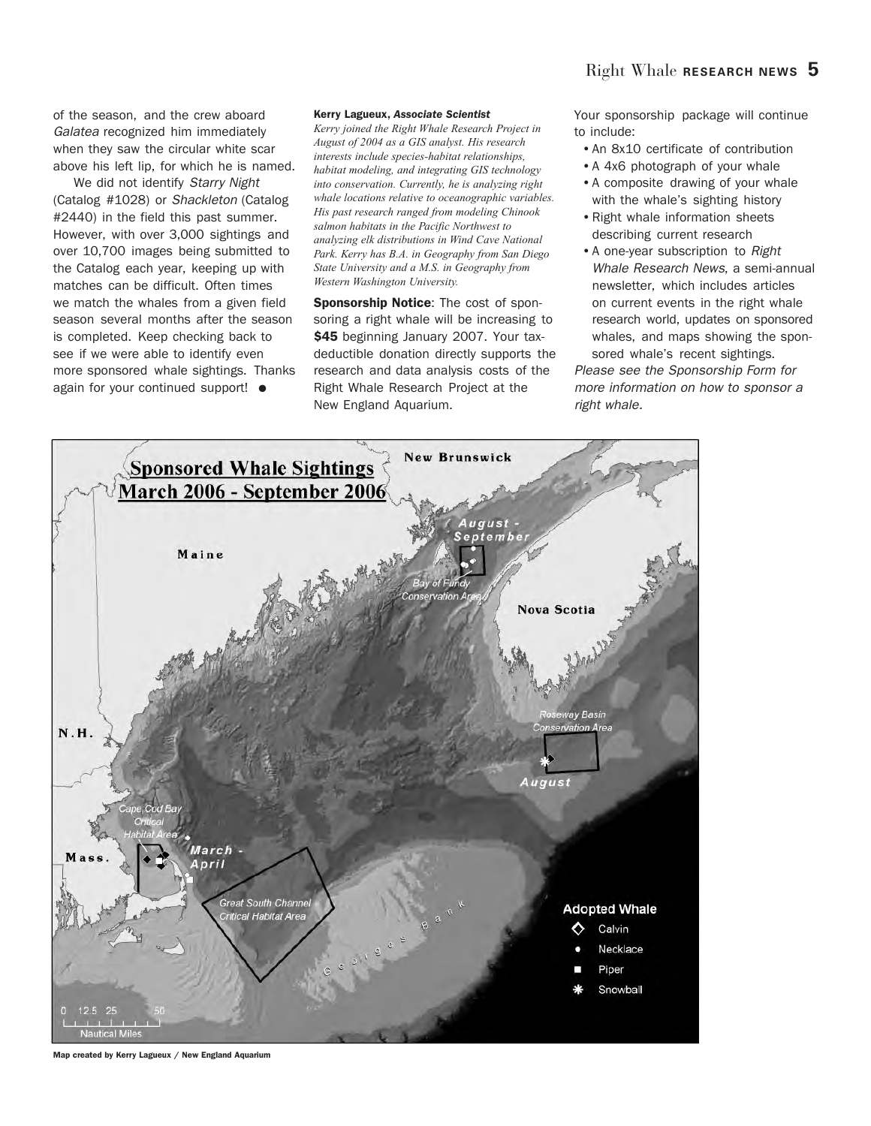of the season, and the crew aboard Galatea recognized him immediately when they saw the circular white scar above his left lip, for which he is named.

We did not identify Starry Night (Catalog #1028) or Shackleton (Catalog #2440) in the field this past summer. However, with over 3,000 sightings and over 10,700 images being submitted to the Catalog each year, keeping up with matches can be difficult. Often times we match the whales from a given field season several months after the season is completed. Keep checking back to see if we were able to identify even more sponsored whale sightings. Thanks again for your continued support! **●**

#### **Kerry Lagueux,** *Associate Scientist*

*Kerry joined the Right Whale Research Project in August of 2004 as a GIS analyst. His research interests include species-habitat relationships, habitat modeling, and integrating GIS technology into conservation. Currently, he is analyzing right whale locations relative to oceanographic variables. His past research ranged from modeling Chinook salmon habitats in the Pacific Northwest to analyzing elk distributions in Wind Cave National Park. Kerry has B.A. in Geography from San Diego State University and a M.S. in Geography from Western Washington University.*

**Sponsorship Notice**: The cost of sponsoring a right whale will be increasing to **\$45** beginning January 2007. Your taxdeductible donation directly supports the research and data analysis costs of the Right Whale Research Project at the New England Aquarium.

Your sponsorship package will continue to include:

- •An 8x10 certificate of contribution
- •A 4x6 photograph of your whale
- •A composite drawing of your whale with the whale's sighting history
- •Right whale information sheets describing current research
- •A one-year subscription to Right Whale Research News, a semi-annual newsletter, which includes articles on current events in the right whale research world, updates on sponsored whales, and maps showing the sponsored whale's recent sightings.

Please see the Sponsorship Form for more information on how to sponsor a right whale.



**Map created by Kerry Lagueux / New England Aquarium**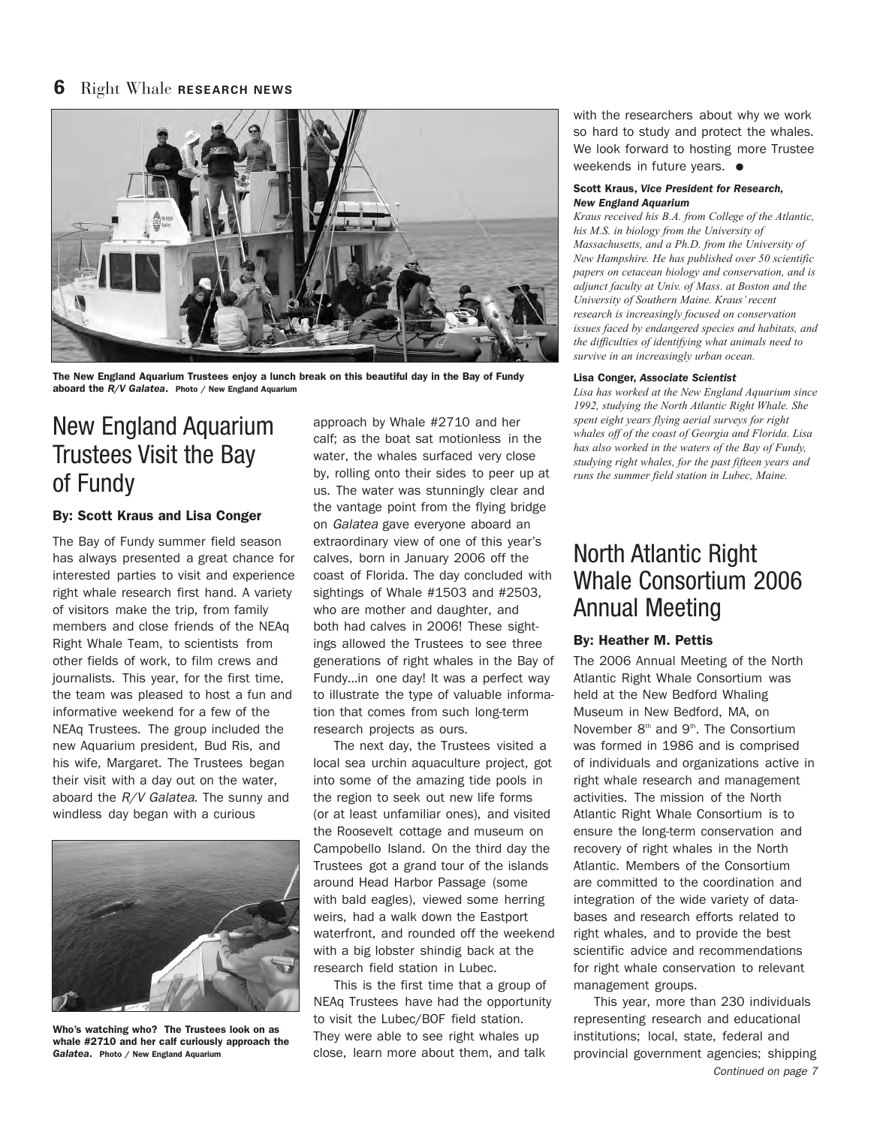

**The New England Aquarium Trustees enjoy a lunch break on this beautiful day in the Bay of Fundy aboard the** *R/V Galatea***. Photo / New England Aquarium**

# New England Aquarium Trustees Visit the Bay of Fundy

#### **By: Scott Kraus and Lisa Conger**

The Bay of Fundy summer field season has always presented a great chance for interested parties to visit and experience right whale research first hand. A variety of visitors make the trip, from family members and close friends of the NEAq Right Whale Team, to scientists from other fields of work, to film crews and journalists. This year, for the first time, the team was pleased to host a fun and informative weekend for a few of the NEAq Trustees. The group included the new Aquarium president, Bud Ris, and his wife, Margaret. The Trustees began their visit with a day out on the water, aboard the  $R/V$  Galatea. The sunny and windless day began with a curious



**Who's watching who? The Trustees look on as whale #2710 and her calf curiously approach the** *Galatea***. Photo / New England Aquarium**

approach by Whale #2710 and her calf; as the boat sat motionless in the water, the whales surfaced very close by, rolling onto their sides to peer up at us. The water was stunningly clear and the vantage point from the flying bridge on Galatea gave everyone aboard an extraordinary view of one of this year's calves, born in January 2006 off the coast of Florida. The day concluded with sightings of Whale #1503 and #2503, who are mother and daughter, and both had calves in 2006! These sightings allowed the Trustees to see three generations of right whales in the Bay of Fundy…in one day! It was a perfect way to illustrate the type of valuable information that comes from such long-term research projects as ours.

The next day, the Trustees visited a local sea urchin aquaculture project, got into some of the amazing tide pools in the region to seek out new life forms (or at least unfamiliar ones), and visited the Roosevelt cottage and museum on Campobello Island. On the third day the Trustees got a grand tour of the islands around Head Harbor Passage (some with bald eagles), viewed some herring weirs, had a walk down the Eastport waterfront, and rounded off the weekend with a big lobster shindig back at the research field station in Lubec.

This is the first time that a group of NEAq Trustees have had the opportunity to visit the Lubec/BOF field station. They were able to see right whales up close, learn more about them, and talk

with the researchers about why we work so hard to study and protect the whales. We look forward to hosting more Trustee weekends in future years. **●**

#### **Scott Kraus,** *Vice President for Research, New England Aquarium*

*Kraus received his B.A. from College of the Atlantic, his M.S. in biology from the University of Massachusetts, and a Ph.D. from the University of New Hampshire. He has published over 50 scientific papers on cetacean biology and conservation, and is adjunct faculty at Univ. of Mass. at Boston and the University of Southern Maine. Kraus' recent research is increasingly focused on conservation issues faced by endangered species and habitats, and the difficulties of identifying what animals need to survive in an increasingly urban ocean.* 

#### **Lisa Conger,** *Associate Scientist*

*Lisa has worked at the New England Aquarium since 1992, studying the North Atlantic Right Whale. She spent eight years flying aerial surveys for right whales off of the coast of Georgia and Florida. Lisa has also worked in the waters of the Bay of Fundy, studying right whales, for the past fifteen years and runs the summer field station in Lubec, Maine.* 

# North Atlantic Right Whale Consortium 2006 Annual Meeting

#### **By: Heather M. Pettis**

The 2006 Annual Meeting of the North Atlantic Right Whale Consortium was held at the New Bedford Whaling Museum in New Bedford, MA, on November 8<sup>th</sup> and 9<sup>th</sup>. The Consortium was formed in 1986 and is comprised of individuals and organizations active in right whale research and management activities. The mission of the North Atlantic Right Whale Consortium is to ensure the long-term conservation and recovery of right whales in the North Atlantic. Members of the Consortium are committed to the coordination and integration of the wide variety of databases and research efforts related to right whales, and to provide the best scientific advice and recommendations for right whale conservation to relevant management groups.

This year, more than 230 individuals representing research and educational institutions; local, state, federal and provincial government agencies; shipping Continued on page 7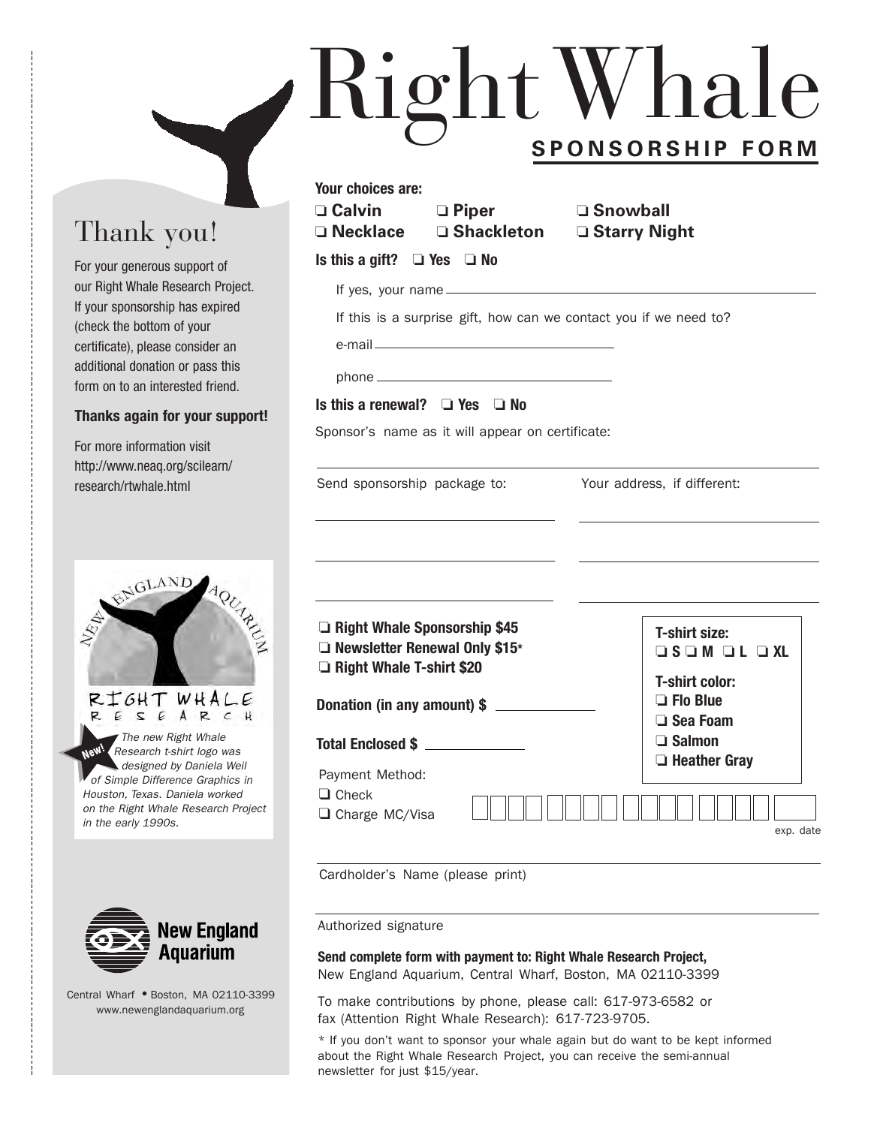# RightWhale **SPONSORSHIP FORM**

# Thank you!

For your generous support of our Right Whale Research Project. If your sponsorship has expired (check the bottom of your certificate), please consider an additional donation or pass this form on to an interested friend.

#### **Thanks again for your support!**

For more information visit http://www.neaq.org/scilearn/ research/rtwhale.html





Central Wharf **●** Boston, MA 02110-3399 www.newenglandaquarium.org

| JFUNJUNJNIF FUNIVI                                                                                                                            |                                                                                                                                                                     |
|-----------------------------------------------------------------------------------------------------------------------------------------------|---------------------------------------------------------------------------------------------------------------------------------------------------------------------|
| Your choices are:<br><b>□ Calvin</b> □ Piper<br>Is this a gift? $\Box$ Yes $\Box$ No                                                          | ा Snowball । अ<br>□ Necklace □ Shackleton □ Starry Night                                                                                                            |
| Is this a renewal? $\Box$ Yes $\Box$ No<br>Sponsor's name as it will appear on certificate:                                                   | If this is a surprise gift, how can we contact you if we need to?                                                                                                   |
| Send sponsorship package to:                                                                                                                  | Your address, if different:                                                                                                                                         |
| Right Whale Sponsorship \$45<br>Rewsletter Renewal Only \$15*<br>Right Whale T-shirt \$20<br>Donation (in any amount) \$<br>Total Enclosed \$ | <b>T-shirt size:</b><br>$\Box$ S $\Box$ M $\Box$ L $\Box$ XL<br><b>T-shirt color:</b><br>$\Box$ Flo Blue<br>$\Box$ Sea Foam<br>$\Box$ Salmon<br>$\Box$ Heather Gray |
| Payment Method:<br>$\Box$ Check<br>□ Charge MC/Visa                                                                                           | exp. date                                                                                                                                                           |

Cardholder's Name (please print)

Authorized signature

**Send complete form with payment to: Right Whale Research Project,** New England Aquarium, Central Wharf, Boston, MA 02110-3399

To make contributions by phone, please call: 617-973-6582 or fax (Attention Right Whale Research): 617-723-9705.

\* If you don't want to sponsor your whale again but do want to be kept informed about the Right Whale Research Project, you can receive the semi-annual newsletter for just \$15/year.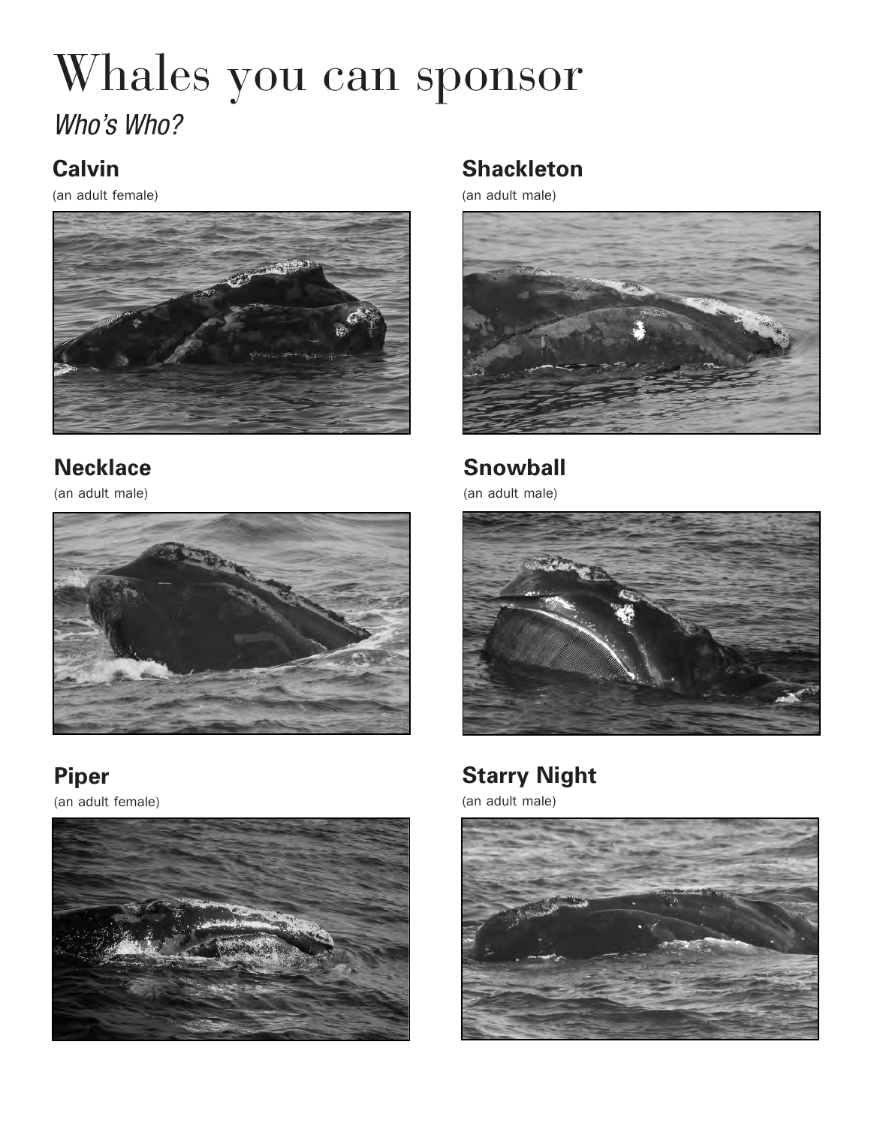# Whales you can sponsor Who's Who?

# **Calvin**

(an adult female)



# **Necklace**

(an adult male)



**Piper** (an adult female)



# **Shackleton**

(an adult male)



**Snowball**

(an adult male)



# **Starry Night**

(an adult male)

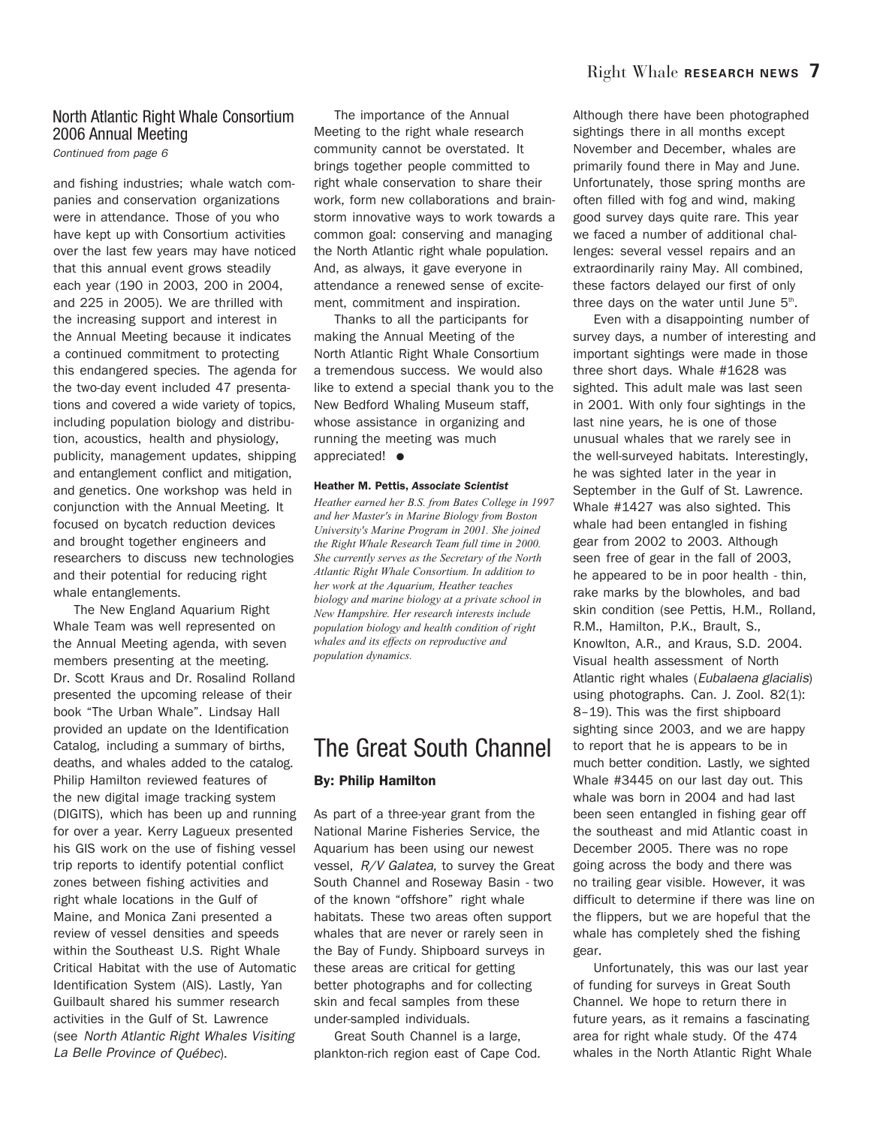#### North Atlantic Right Whale Consortium 2006 Annual Meeting

Continued from page 6

and fishing industries; whale watch companies and conservation organizations were in attendance. Those of you who have kept up with Consortium activities over the last few years may have noticed that this annual event grows steadily each year (190 in 2003, 200 in 2004, and 225 in 2005). We are thrilled with the increasing support and interest in the Annual Meeting because it indicates a continued commitment to protecting this endangered species. The agenda for the two-day event included 47 presentations and covered a wide variety of topics, including population biology and distribution, acoustics, health and physiology, publicity, management updates, shipping and entanglement conflict and mitigation, and genetics. One workshop was held in conjunction with the Annual Meeting. It focused on bycatch reduction devices and brought together engineers and researchers to discuss new technologies and their potential for reducing right whale entanglements.

The New England Aquarium Right Whale Team was well represented on the Annual Meeting agenda, with seven members presenting at the meeting. Dr. Scott Kraus and Dr. Rosalind Rolland presented the upcoming release of their book "The Urban Whale". Lindsay Hall provided an update on the Identification Catalog, including a summary of births, deaths, and whales added to the catalog. Philip Hamilton reviewed features of the new digital image tracking system (DIGITS), which has been up and running for over a year. Kerry Lagueux presented his GIS work on the use of fishing vessel trip reports to identify potential conflict zones between fishing activities and right whale locations in the Gulf of Maine, and Monica Zani presented a review of vessel densities and speeds within the Southeast U.S. Right Whale Critical Habitat with the use of Automatic Identification System (AIS). Lastly, Yan Guilbault shared his summer research activities in the Gulf of St. Lawrence (see North Atlantic Right Whales Visiting La Belle Province of Québec).

The importance of the Annual Meeting to the right whale research community cannot be overstated. It brings together people committed to right whale conservation to share their work, form new collaborations and brainstorm innovative ways to work towards a common goal: conserving and managing the North Atlantic right whale population. And, as always, it gave everyone in attendance a renewed sense of excitement, commitment and inspiration.

Thanks to all the participants for making the Annual Meeting of the North Atlantic Right Whale Consortium a tremendous success. We would also like to extend a special thank you to the New Bedford Whaling Museum staff, whose assistance in organizing and running the meeting was much appreciated! **●**

#### **Heather M. Pettis,** *Associate Scientist*

*Heather earned her B.S. from Bates College in 1997 and her Master's in Marine Biology from Boston University's Marine Program in 2001. She joined the Right Whale Research Team full time in 2000. She currently serves as the Secretary of the North Atlantic Right Whale Consortium. In addition to her work at the Aquarium, Heather teaches biology and marine biology at a private school in New Hampshire. Her research interests include population biology and health condition of right whales and its effects on reproductive and population dynamics.* 

### The Great South Channel

#### **By: Philip Hamilton**

As part of a three-year grant from the National Marine Fisheries Service, the Aquarium has been using our newest vessel, R/V Galatea, to survey the Great South Channel and Roseway Basin - two of the known "offshore" right whale habitats. These two areas often support whales that are never or rarely seen in the Bay of Fundy. Shipboard surveys in these areas are critical for getting better photographs and for collecting skin and fecal samples from these under-sampled individuals.

Great South Channel is a large, plankton-rich region east of Cape Cod. Although there have been photographed sightings there in all months except November and December, whales are primarily found there in May and June. Unfortunately, those spring months are often filled with fog and wind, making good survey days quite rare. This year we faced a number of additional challenges: several vessel repairs and an extraordinarily rainy May. All combined, these factors delayed our first of only three days on the water until June 5<sup>th</sup>.

Even with a disappointing number of survey days, a number of interesting and important sightings were made in those three short days. Whale #1628 was sighted. This adult male was last seen in 2001. With only four sightings in the last nine years, he is one of those unusual whales that we rarely see in the well-surveyed habitats. Interestingly, he was sighted later in the year in September in the Gulf of St. Lawrence. Whale #1427 was also sighted. This whale had been entangled in fishing gear from 2002 to 2003. Although seen free of gear in the fall of 2003, he appeared to be in poor health - thin, rake marks by the blowholes, and bad skin condition (see Pettis, H.M., Rolland, R.M., Hamilton, P.K., Brault, S., Knowlton, A.R., and Kraus, S.D. 2004. Visual health assessment of North Atlantic right whales (Eubalaena glacialis) using photographs. Can. J. Zool. 82(1): 8–19). This was the first shipboard sighting since 2003, and we are happy to report that he is appears to be in much better condition. Lastly, we sighted Whale #3445 on our last day out. This whale was born in 2004 and had last been seen entangled in fishing gear off the southeast and mid Atlantic coast in December 2005. There was no rope going across the body and there was no trailing gear visible. However, it was difficult to determine if there was line on the flippers, but we are hopeful that the whale has completely shed the fishing gear.

Unfortunately, this was our last year of funding for surveys in Great South Channel. We hope to return there in future years, as it remains a fascinating area for right whale study. Of the 474 whales in the North Atlantic Right Whale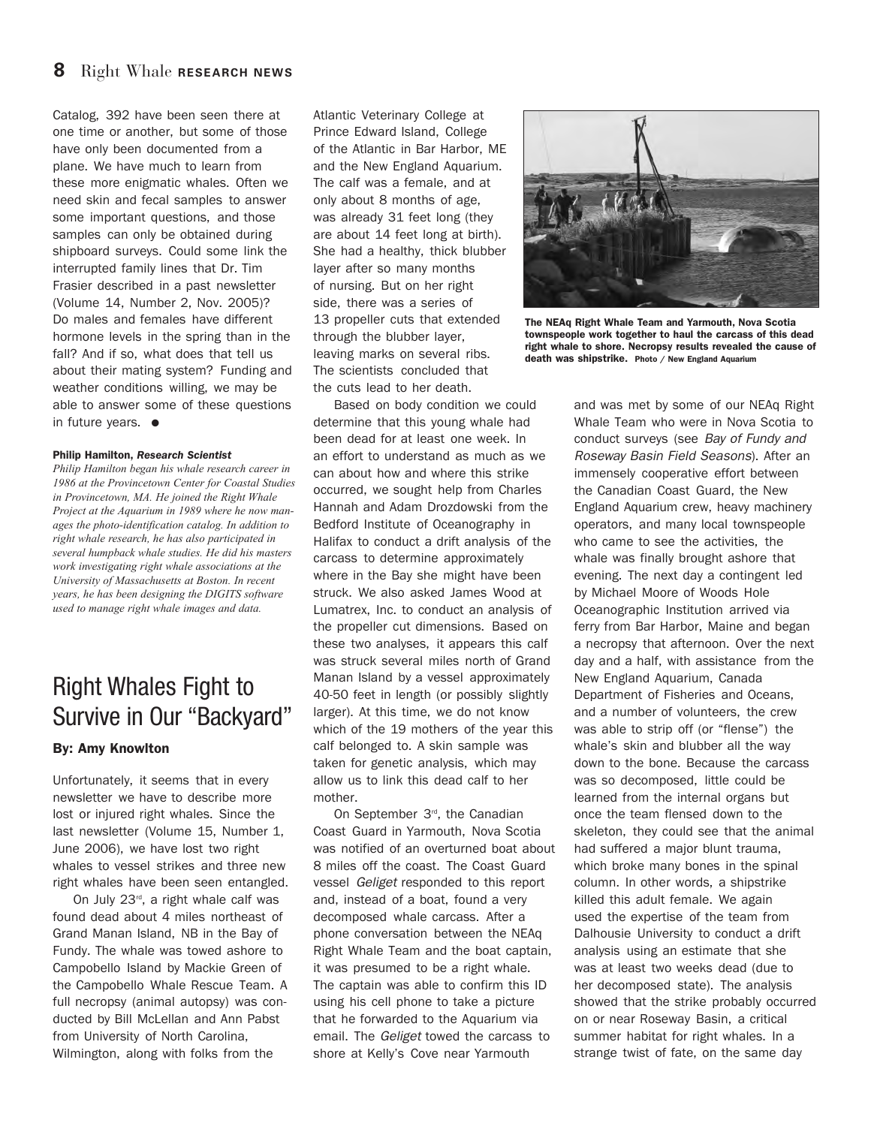Catalog, 392 have been seen there at one time or another, but some of those have only been documented from a plane. We have much to learn from these more enigmatic whales. Often we need skin and fecal samples to answer some important questions, and those samples can only be obtained during shipboard surveys. Could some link the interrupted family lines that Dr. Tim Frasier described in a past newsletter (Volume 14, Number 2, Nov. 2005)? Do males and females have different hormone levels in the spring than in the fall? And if so, what does that tell us about their mating system? Funding and weather conditions willing, we may be able to answer some of these questions in future years. **●**

#### **Philip Hamilton,** *Research Scientist*

*Philip Hamilton began his whale research career in 1986 at the Provincetown Center for Coastal Studies in Provincetown, MA. He joined the Right Whale Project at the Aquarium in 1989 where he now manages the photo-identification catalog. In addition to right whale research, he has also participated in several humpback whale studies. He did his masters work investigating right whale associations at the University of Massachusetts at Boston. In recent years, he has been designing the DIGITS software used to manage right whale images and data.* 

# Right Whales Fight to Survive in Our "Backyard"

#### **By: Amy Knowlton**

Unfortunately, it seems that in every newsletter we have to describe more lost or injured right whales. Since the last newsletter (Volume 15, Number 1, June 2006), we have lost two right whales to vessel strikes and three new right whales have been seen entangled.

On July  $23<sup>rd</sup>$ , a right whale calf was found dead about 4 miles northeast of Grand Manan Island, NB in the Bay of Fundy. The whale was towed ashore to Campobello Island by Mackie Green of the Campobello Whale Rescue Team. A full necropsy (animal autopsy) was conducted by Bill McLellan and Ann Pabst from University of North Carolina, Wilmington, along with folks from the

Atlantic Veterinary College at Prince Edward Island, College of the Atlantic in Bar Harbor, ME and the New England Aquarium. The calf was a female, and at only about 8 months of age, was already 31 feet long (they are about 14 feet long at birth). She had a healthy, thick blubber layer after so many months of nursing. But on her right side, there was a series of 13 propeller cuts that extended through the blubber layer, leaving marks on several ribs. The scientists concluded that the cuts lead to her death.

Based on body condition we could determine that this young whale had been dead for at least one week. In an effort to understand as much as we can about how and where this strike occurred, we sought help from Charles Hannah and Adam Drozdowski from the Bedford Institute of Oceanography in Halifax to conduct a drift analysis of the carcass to determine approximately where in the Bay she might have been struck. We also asked James Wood at Lumatrex, Inc. to conduct an analysis of the propeller cut dimensions. Based on these two analyses, it appears this calf was struck several miles north of Grand Manan Island by a vessel approximately 40-50 feet in length (or possibly slightly larger). At this time, we do not know which of the 19 mothers of the year this calf belonged to. A skin sample was taken for genetic analysis, which may allow us to link this dead calf to her mother.

On September 3<sup>rd</sup>, the Canadian Coast Guard in Yarmouth, Nova Scotia was notified of an overturned boat about 8 miles off the coast. The Coast Guard vessel Geliget responded to this report and, instead of a boat, found a very decomposed whale carcass. After a phone conversation between the NEAq Right Whale Team and the boat captain, it was presumed to be a right whale. The captain was able to confirm this ID using his cell phone to take a picture that he forwarded to the Aquarium via email. The Geliget towed the carcass to shore at Kelly's Cove near Yarmouth



**The NEAq Right Whale Team and Yarmouth, Nova Scotia townspeople work together to haul the carcass of this dead right whale to shore. Necropsy results revealed the cause of death was shipstrike. Photo / New England Aquarium**

and was met by some of our NEAq Right Whale Team who were in Nova Scotia to conduct surveys (see Bay of Fundy and Roseway Basin Field Seasons). After an immensely cooperative effort between the Canadian Coast Guard, the New England Aquarium crew, heavy machinery operators, and many local townspeople who came to see the activities, the whale was finally brought ashore that evening. The next day a contingent led by Michael Moore of Woods Hole Oceanographic Institution arrived via ferry from Bar Harbor, Maine and began a necropsy that afternoon. Over the next day and a half, with assistance from the New England Aquarium, Canada Department of Fisheries and Oceans, and a number of volunteers, the crew was able to strip off (or "flense") the whale's skin and blubber all the way down to the bone. Because the carcass was so decomposed, little could be learned from the internal organs but once the team flensed down to the skeleton, they could see that the animal had suffered a major blunt trauma, which broke many bones in the spinal column. In other words, a shipstrike killed this adult female. We again used the expertise of the team from Dalhousie University to conduct a drift analysis using an estimate that she was at least two weeks dead (due to her decomposed state). The analysis showed that the strike probably occurred on or near Roseway Basin, a critical summer habitat for right whales. In a strange twist of fate, on the same day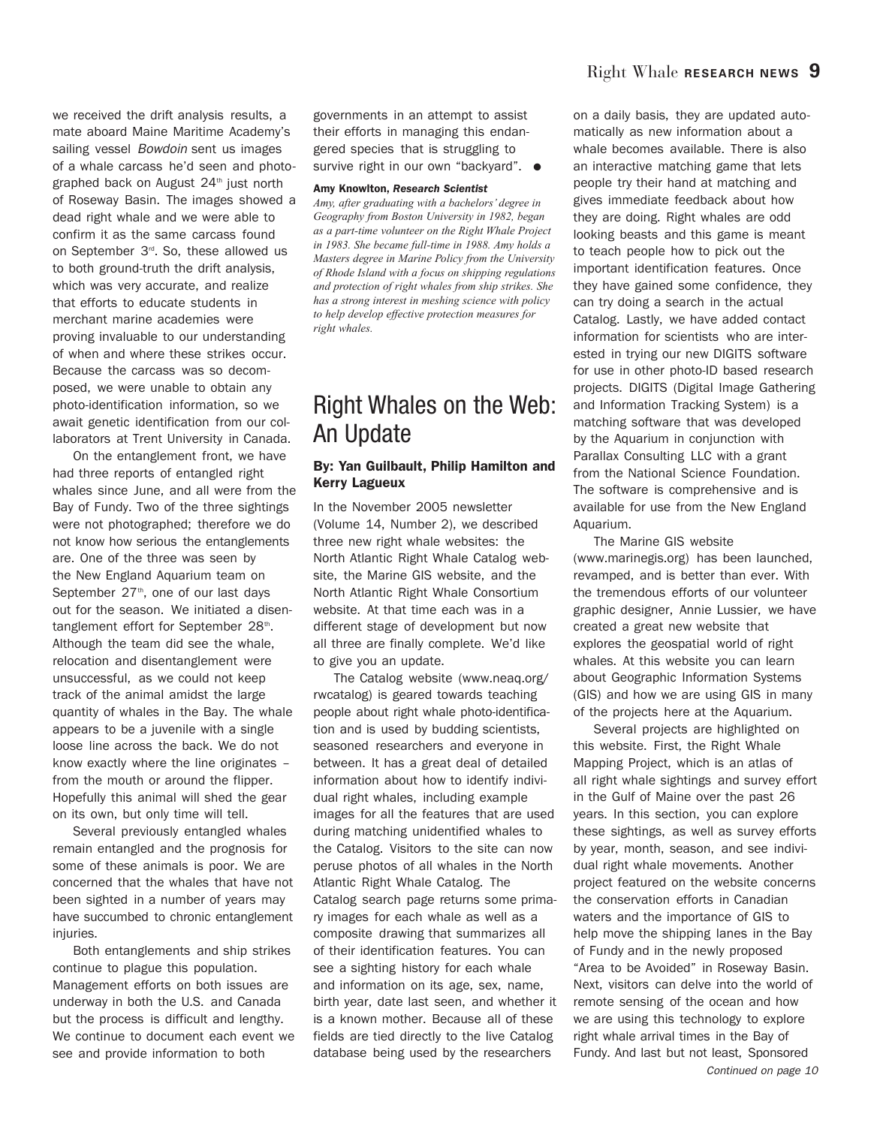we received the drift analysis results, a mate aboard Maine Maritime Academy's sailing vessel Bowdoin sent us images of a whale carcass he'd seen and photographed back on August  $24<sup>th</sup>$  just north of Roseway Basin. The images showed a dead right whale and we were able to confirm it as the same carcass found on September 3<sup>rd</sup>. So, these allowed us to both ground-truth the drift analysis, which was very accurate, and realize that efforts to educate students in merchant marine academies were proving invaluable to our understanding of when and where these strikes occur. Because the carcass was so decomposed, we were unable to obtain any photo-identification information, so we await genetic identification from our collaborators at Trent University in Canada.

On the entanglement front, we have had three reports of entangled right whales since June, and all were from the Bay of Fundy. Two of the three sightings were not photographed; therefore we do not know how serious the entanglements are. One of the three was seen by the New England Aquarium team on September  $27<sup>th</sup>$ , one of our last days out for the season. We initiated a disentanglement effort for September 28<sup>th</sup>. Although the team did see the whale, relocation and disentanglement were unsuccessful, as we could not keep track of the animal amidst the large quantity of whales in the Bay. The whale appears to be a juvenile with a single loose line across the back. We do not know exactly where the line originates – from the mouth or around the flipper. Hopefully this animal will shed the gear on its own, but only time will tell.

Several previously entangled whales remain entangled and the prognosis for some of these animals is poor. We are concerned that the whales that have not been sighted in a number of years may have succumbed to chronic entanglement injuries.

Both entanglements and ship strikes continue to plague this population. Management efforts on both issues are underway in both the U.S. and Canada but the process is difficult and lengthy. We continue to document each event we see and provide information to both

governments in an attempt to assist their efforts in managing this endangered species that is struggling to survive right in our own "backyard". **●**

#### **Amy Knowlton,** *Research Scientist*

*Amy, after graduating with a bachelors' degree in Geography from Boston University in 1982, began as a part-time volunteer on the Right Whale Project in 1983. She became full-time in 1988. Amy holds a Masters degree in Marine Policy from the University of Rhode Island with a focus on shipping regulations and protection of right whales from ship strikes. She has a strong interest in meshing science with policy to help develop effective protection measures for right whales.* 

# Right Whales on the Web: An Update

#### **By: Yan Guilbault, Philip Hamilton and Kerry Lagueux**

In the November 2005 newsletter (Volume 14, Number 2), we described three new right whale websites: the North Atlantic Right Whale Catalog website, the Marine GIS website, and the North Atlantic Right Whale Consortium website. At that time each was in a different stage of development but now all three are finally complete. We'd like to give you an update.

The Catalog website (www.neaq.org/ rwcatalog) is geared towards teaching people about right whale photo-identification and is used by budding scientists, seasoned researchers and everyone in between. It has a great deal of detailed information about how to identify individual right whales, including example images for all the features that are used during matching unidentified whales to the Catalog. Visitors to the site can now peruse photos of all whales in the North Atlantic Right Whale Catalog. The Catalog search page returns some primary images for each whale as well as a composite drawing that summarizes all of their identification features. You can see a sighting history for each whale and information on its age, sex, name, birth year, date last seen, and whether it is a known mother. Because all of these fields are tied directly to the live Catalog database being used by the researchers

on a daily basis, they are updated automatically as new information about a whale becomes available. There is also an interactive matching game that lets people try their hand at matching and gives immediate feedback about how they are doing. Right whales are odd looking beasts and this game is meant to teach people how to pick out the important identification features. Once they have gained some confidence, they can try doing a search in the actual Catalog. Lastly, we have added contact information for scientists who are interested in trying our new DIGITS software for use in other photo-ID based research projects. DIGITS (Digital Image Gathering and Information Tracking System) is a matching software that was developed by the Aquarium in conjunction with Parallax Consulting LLC with a grant from the National Science Foundation. The software is comprehensive and is available for use from the New England Aquarium.

The Marine GIS website (www.marinegis.org) has been launched, revamped, and is better than ever. With the tremendous efforts of our volunteer graphic designer, Annie Lussier, we have created a great new website that explores the geospatial world of right whales. At this website you can learn about Geographic Information Systems (GIS) and how we are using GIS in many of the projects here at the Aquarium.

Several projects are highlighted on this website. First, the Right Whale Mapping Project, which is an atlas of all right whale sightings and survey effort in the Gulf of Maine over the past 26 years. In this section, you can explore these sightings, as well as survey efforts by year, month, season, and see individual right whale movements. Another project featured on the website concerns the conservation efforts in Canadian waters and the importance of GIS to help move the shipping lanes in the Bay of Fundy and in the newly proposed "Area to be Avoided" in Roseway Basin. Next, visitors can delve into the world of remote sensing of the ocean and how we are using this technology to explore right whale arrival times in the Bay of Fundy. And last but not least, Sponsored